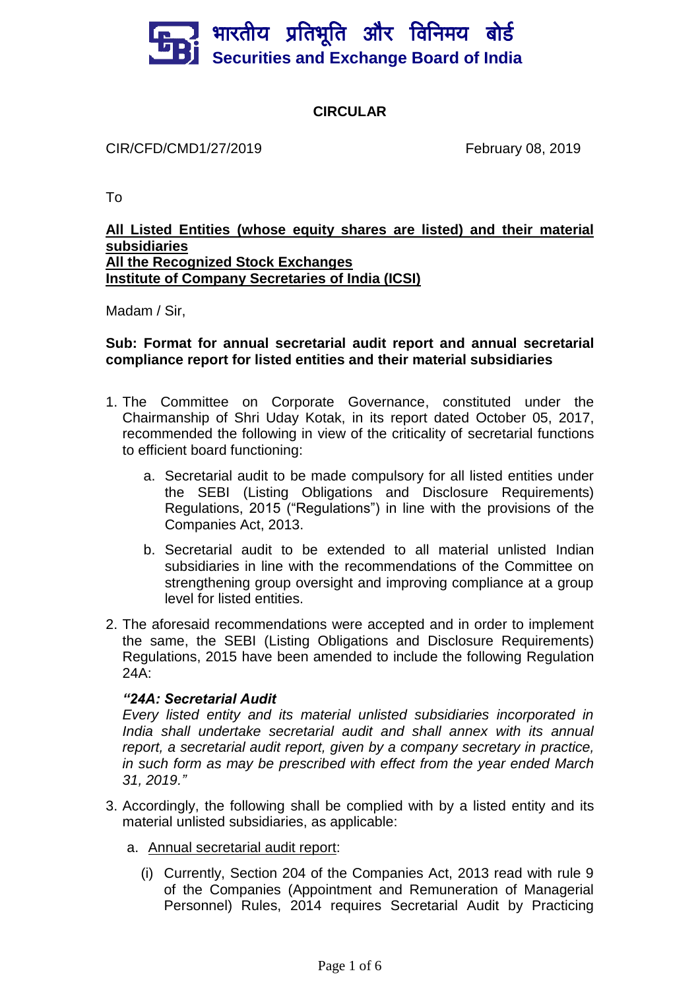# भारतीय प्रतिभूति और विनिमय बो**र्ड Securities and Exchange Board of India**

### **CIRCULAR**

CIR/CFD/CMD1/27/2019 February 08, 2019

To

#### **All Listed Entities (whose equity shares are listed) and their material subsidiaries All the Recognized Stock Exchanges Institute of Company Secretaries of India (ICSI)**

Madam / Sir,

#### **Sub: Format for annual secretarial audit report and annual secretarial compliance report for listed entities and their material subsidiaries**

- 1. The Committee on Corporate Governance, constituted under the Chairmanship of Shri Uday Kotak, in its report dated October 05, 2017, recommended the following in view of the criticality of secretarial functions to efficient board functioning:
	- a. Secretarial audit to be made compulsory for all listed entities under the SEBI (Listing Obligations and Disclosure Requirements) Regulations, 2015 ("Regulations") in line with the provisions of the Companies Act, 2013.
	- b. Secretarial audit to be extended to all material unlisted Indian subsidiaries in line with the recommendations of the Committee on strengthening group oversight and improving compliance at a group level for listed entities.
- 2. The aforesaid recommendations were accepted and in order to implement the same, the SEBI (Listing Obligations and Disclosure Requirements) Regulations, 2015 have been amended to include the following Regulation 24A:

### *"24A: Secretarial Audit*

*Every listed entity and its material unlisted subsidiaries incorporated in India shall undertake secretarial audit and shall annex with its annual report, a secretarial audit report, given by a company secretary in practice, in such form as may be prescribed with effect from the year ended March 31, 2019."*

- 3. Accordingly, the following shall be complied with by a listed entity and its material unlisted subsidiaries, as applicable:
	- a. Annual secretarial audit report:
		- (i) Currently, Section 204 of the Companies Act, 2013 read with rule 9 of the Companies (Appointment and Remuneration of Managerial Personnel) Rules, 2014 requires Secretarial Audit by Practicing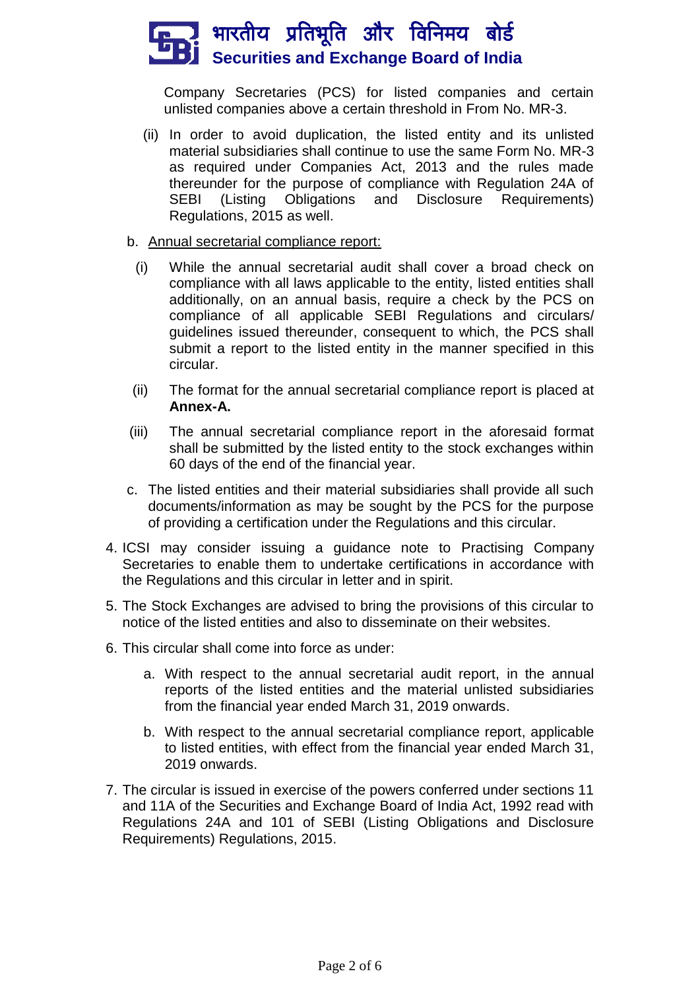## ँ भारतीय प्रतिभूति और विनिमय बोर्ड **Securities and Exchange Board of India**

Company Secretaries (PCS) for listed companies and certain unlisted companies above a certain threshold in From No. MR-3.

- (ii) In order to avoid duplication, the listed entity and its unlisted material subsidiaries shall continue to use the same Form No. MR-3 as required under Companies Act, 2013 and the rules made thereunder for the purpose of compliance with Regulation 24A of SEBI (Listing Obligations and Disclosure Requirements) Regulations, 2015 as well.
- b. Annual secretarial compliance report:
	- (i) While the annual secretarial audit shall cover a broad check on compliance with all laws applicable to the entity, listed entities shall additionally, on an annual basis, require a check by the PCS on compliance of all applicable SEBI Regulations and circulars/ guidelines issued thereunder, consequent to which, the PCS shall submit a report to the listed entity in the manner specified in this circular.
- (ii) The format for the annual secretarial compliance report is placed at **Annex-A.**
- (iii) The annual secretarial compliance report in the aforesaid format shall be submitted by the listed entity to the stock exchanges within 60 days of the end of the financial year.
- c. The listed entities and their material subsidiaries shall provide all such documents/information as may be sought by the PCS for the purpose of providing a certification under the Regulations and this circular.
- 4. ICSI may consider issuing a guidance note to Practising Company Secretaries to enable them to undertake certifications in accordance with the Regulations and this circular in letter and in spirit.
- 5. The Stock Exchanges are advised to bring the provisions of this circular to notice of the listed entities and also to disseminate on their websites.
- 6. This circular shall come into force as under:
	- a. With respect to the annual secretarial audit report, in the annual reports of the listed entities and the material unlisted subsidiaries from the financial year ended March 31, 2019 onwards.
	- b. With respect to the annual secretarial compliance report, applicable to listed entities, with effect from the financial year ended March 31, 2019 onwards.
- 7. The circular is issued in exercise of the powers conferred under sections 11 and 11A of the Securities and Exchange Board of India Act, 1992 read with Regulations 24A and 101 of SEBI (Listing Obligations and Disclosure Requirements) Regulations, 2015.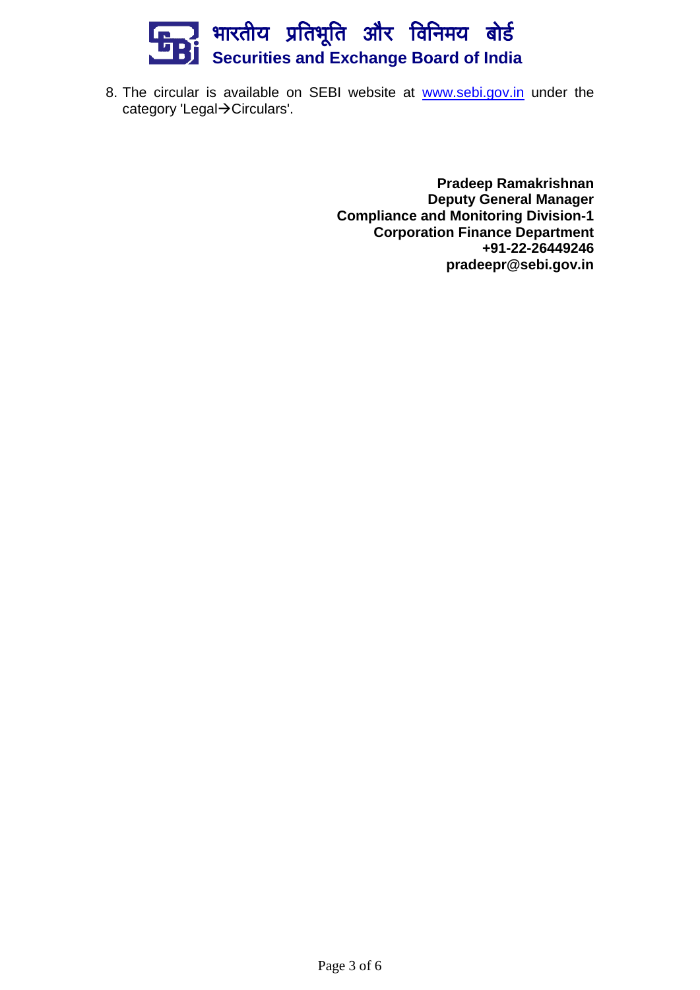## भारतीय प्रतिभूति और विनिमय बो**र्ड Securities and Exchange Board of India**

8. The circular is available on SEBI website at [www.sebi.gov.in](http://www.sebi.gov.in/) under the category 'Legal->Circulars'.

> **Pradeep Ramakrishnan Deputy General Manager Compliance and Monitoring Division-1 Corporation Finance Department +91-22-26449246 pradeepr@sebi.gov.in**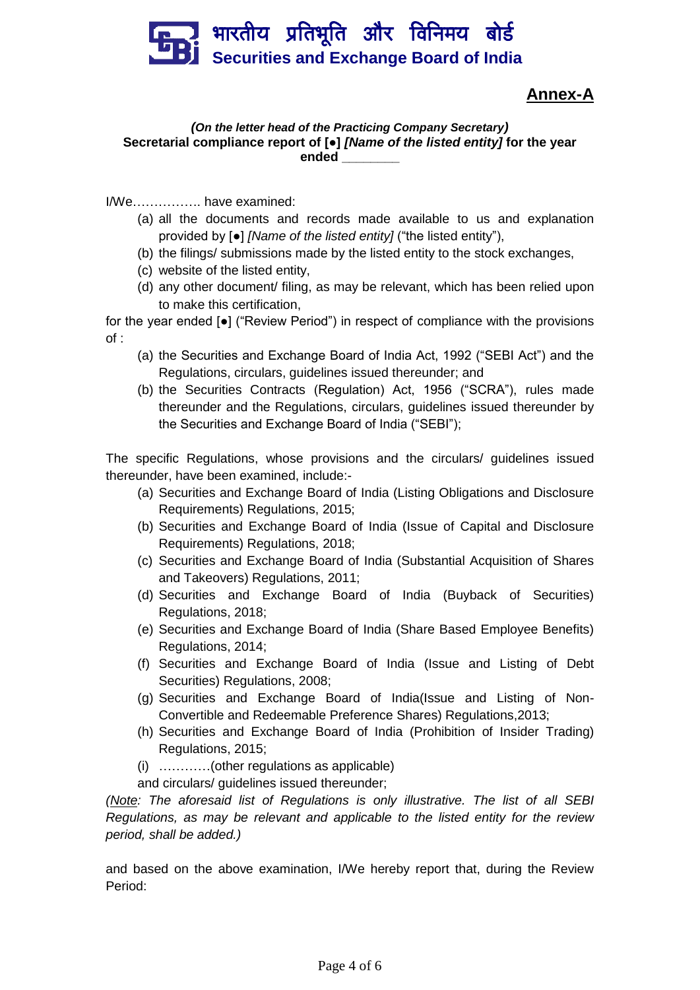

### **Annex-A**

#### *(On the letter head of the Practicing Company Secretary)* **Secretarial compliance report of [●]** *[Name of the listed entity]* **for the year ended \_\_\_\_\_\_\_\_**

I/We……………. have examined:

- (a) all the documents and records made available to us and explanation provided by [●] *[Name of the listed entity]* ("the listed entity"),
- (b) the filings/ submissions made by the listed entity to the stock exchanges,
- (c) website of the listed entity,
- (d) any other document/ filing, as may be relevant, which has been relied upon to make this certification,

for the year ended [●] ("Review Period") in respect of compliance with the provisions of :

- (a) the Securities and Exchange Board of India Act, 1992 ("SEBI Act") and the Regulations, circulars, guidelines issued thereunder; and
- (b) the Securities Contracts (Regulation) Act, 1956 ("SCRA"), rules made thereunder and the Regulations, circulars, guidelines issued thereunder by the Securities and Exchange Board of India ("SEBI");

The specific Regulations, whose provisions and the circulars/ guidelines issued thereunder, have been examined, include:-

- (a) Securities and Exchange Board of India (Listing Obligations and Disclosure Requirements) Regulations, 2015;
- (b) Securities and Exchange Board of India (Issue of Capital and Disclosure Requirements) Regulations, 2018;
- (c) Securities and Exchange Board of India (Substantial Acquisition of Shares and Takeovers) Regulations, 2011;
- (d) Securities and Exchange Board of India (Buyback of Securities) Regulations, 2018;
- (e) Securities and Exchange Board of India (Share Based Employee Benefits) Regulations, 2014;
- (f) Securities and Exchange Board of India (Issue and Listing of Debt Securities) Regulations, 2008;
- (g) Securities and Exchange Board of India(Issue and Listing of Non-Convertible and Redeemable Preference Shares) Regulations,2013;
- (h) Securities and Exchange Board of India (Prohibition of Insider Trading) Regulations, 2015;
- (i) …………(other regulations as applicable)

and circulars/ guidelines issued thereunder;

*(Note: The aforesaid list of Regulations is only illustrative. The list of all SEBI Regulations, as may be relevant and applicable to the listed entity for the review period, shall be added.)*

and based on the above examination, I/We hereby report that, during the Review Period: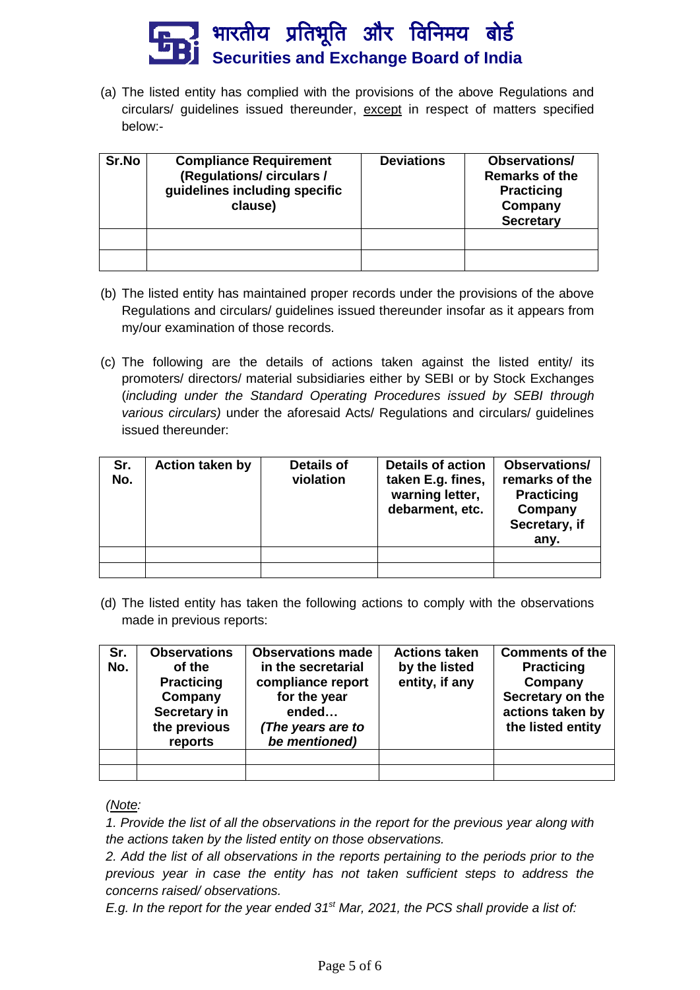

(a) The listed entity has complied with the provisions of the above Regulations and circulars/ guidelines issued thereunder, except in respect of matters specified below:-

| Sr.No | <b>Compliance Requirement</b><br>(Regulations/ circulars /<br>guidelines including specific<br>clause) | <b>Deviations</b> | <b>Observations/</b><br><b>Remarks of the</b><br><b>Practicing</b><br>Company<br><b>Secretary</b> |
|-------|--------------------------------------------------------------------------------------------------------|-------------------|---------------------------------------------------------------------------------------------------|
|       |                                                                                                        |                   |                                                                                                   |
|       |                                                                                                        |                   |                                                                                                   |

- (b) The listed entity has maintained proper records under the provisions of the above Regulations and circulars/ guidelines issued thereunder insofar as it appears from my/our examination of those records.
- (c) The following are the details of actions taken against the listed entity/ its promoters/ directors/ material subsidiaries either by SEBI or by Stock Exchanges (*including under the Standard Operating Procedures issued by SEBI through various circulars)* under the aforesaid Acts/ Regulations and circulars/ guidelines issued thereunder:

| Sr.<br>No. | Action taken by | Details of<br>violation | <b>Details of action</b><br>taken E.g. fines,<br>warning letter,<br>debarment, etc. | <b>Observations/</b><br>remarks of the<br><b>Practicing</b><br>Company<br>Secretary, if<br>any. |
|------------|-----------------|-------------------------|-------------------------------------------------------------------------------------|-------------------------------------------------------------------------------------------------|
|            |                 |                         |                                                                                     |                                                                                                 |
|            |                 |                         |                                                                                     |                                                                                                 |

(d) The listed entity has taken the following actions to comply with the observations made in previous reports:

| Sr.<br>No. | <b>Observations</b><br>of the<br><b>Practicing</b><br>Company<br>Secretary in<br>the previous<br>reports | <b>Observations made</b><br>in the secretarial<br>compliance report<br>for the year<br>ended<br>(The years are to<br>be mentioned) | <b>Actions taken</b><br>by the listed<br>entity, if any | <b>Comments of the</b><br><b>Practicing</b><br>Company<br>Secretary on the<br>actions taken by<br>the listed entity |
|------------|----------------------------------------------------------------------------------------------------------|------------------------------------------------------------------------------------------------------------------------------------|---------------------------------------------------------|---------------------------------------------------------------------------------------------------------------------|
|            |                                                                                                          |                                                                                                                                    |                                                         |                                                                                                                     |
|            |                                                                                                          |                                                                                                                                    |                                                         |                                                                                                                     |

*(Note:* 

*1. Provide the list of all the observations in the report for the previous year along with the actions taken by the listed entity on those observations.* 

*2. Add the list of all observations in the reports pertaining to the periods prior to the previous year in case the entity has not taken sufficient steps to address the concerns raised/ observations.*

*E.g. In the report for the year ended 31 st Mar, 2021, the PCS shall provide a list of:*